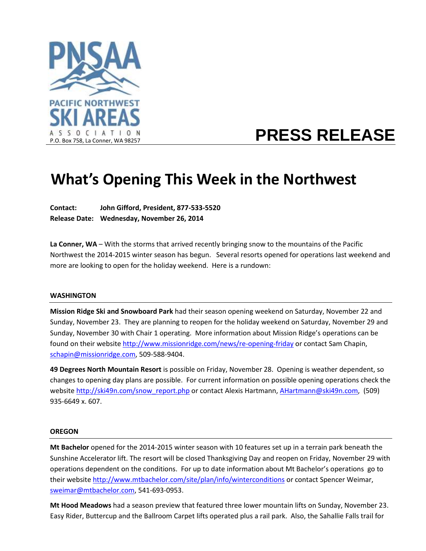

# **PRESS RELEASE**

## **What's Opening This Week in the Northwest**

**Contact: John Gifford, President, 877-533-5520 Release Date: Wednesday, November 26, 2014**

**La Conner, WA** – With the storms that arrived recently bringing snow to the mountains of the Pacific Northwest the 2014-2015 winter season has begun. Several resorts opened for operations last weekend and more are looking to open for the holiday weekend. Here is a rundown:

#### **WASHINGTON**

**Mission Ridge Ski and Snowboard Park** had their season opening weekend on Saturday, November 22 and Sunday, November 23. They are planning to reopen for the holiday weekend on Saturday, November 29 and Sunday, November 30 with Chair 1 operating. More information about Mission Ridge's operations can be found on their website <http://www.missionridge.com/news/re-opening-friday> or contact Sam Chapin, [schapin@missionridge.com,](mailto:schapin@missionridge.com) 509-588-9404.

**49 Degrees North Mountain Resort** is possible on Friday, November 28. Opening is weather dependent, so changes to opening day plans are possible. For current information on possible opening operations check the websit[e http://ski49n.com/snow\\_report.php](http://ski49n.com/snow_report.php) or contact Alexis Hartmann, [AHartmann@ski49n.com,](mailto:AHartmann@ski49n.com) (509) 935-6649 x. 607.

#### **OREGON**

**Mt Bachelor** opened for the 2014-2015 winter season with 10 features set up in a terrain park beneath the Sunshine Accelerator lift. The resort will be closed Thanksgiving Day and reopen on Friday, November 29 with operations dependent on the conditions. For up to date information about Mt Bachelor's operations go to their website <http://www.mtbachelor.com/site/plan/info/winterconditions> or contact Spencer Weimar, [sweimar@mtbachelor.com,](mailto:sweimar@mtbachelor.com) 541-693-0953.

**Mt Hood Meadows** had a season preview that featured three lower mountain lifts on Sunday, November 23. Easy Rider, Buttercup and the Ballroom Carpet lifts operated plus a rail park. Also, the Sahallie Falls trail for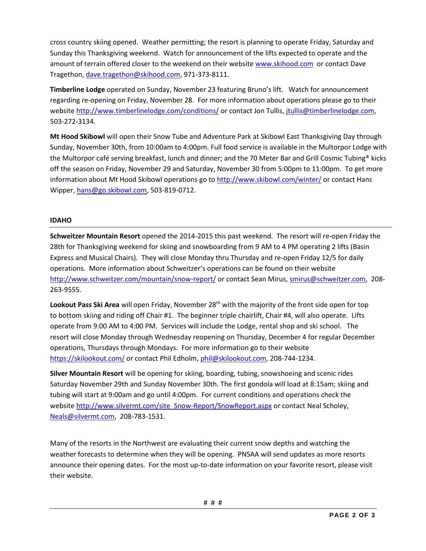cross country skiing opened. Weather permitting; the resort is planning to operate Friday, Saturday and Sunday this Thanksgiving weekend. Watch for announcement of the lifts expected to operate and the amount of terrain offered closer to the weekend on their website [www.skihood.com](http://www.skihood.com/) or contact Dave Tragethon, [dave.tragethon@skihood.com,](mailto:dave.tragethon@skihood.com) 971-373-8111.

**Timberline Lodge** operated on Sunday, November 23 featuring Bruno's lift. Watch for announcement regarding re-opening on Friday, November 28. For more information about operations please go to their websit[e http://www.timberlinelodge.com/conditions/](http://www.timberlinelodge.com/conditions/) or contact Jon Tullis, [jtullis@timberlinelodge.com,](mailto:jtullis@timberlinelodge.com) 503-272-3134.

**Mt Hood Skibowl** will open their Snow Tube and Adventure Park at Skibowl East Thanksgiving Day through Sunday, November 30th, from 10:00am to 4:00pm. Full food service is available in the Multorpor Lodge with the Multorpor café serving breakfast, lunch and dinner; and the 70 Meter Bar and Grill Cosmic Tubing® kicks off the season on Friday, November 29 and Saturday, November 30 from 5:00pm to 11:00pm. To get more information about Mt Hood Skibowl operations go to<http://www.skibowl.com/winter/> or contact Hans Wipper[, hans@go.skibowl.com,](mailto:hans@go.skibowl.com) 503-819-0712.

### **IDAHO**

**Schweitzer Mountain Resort** opened the 2014-2015 this past weekend. The resort will re-open Friday the 28th for Thanksgiving weekend for skiing and snowboarding from 9 AM to 4 PM operating 2 lifts (Basin Express and Musical Chairs). They will close Monday thru Thursday and re-open Friday 12/5 for daily operations. More information about Schweitzer's operations can be found on their website <http://www.schweitzer.com/mountain/snow-report/> or contact Sean Mirus, [smirus@schweitzer.com,](mailto:smirus@schweitzer.com) 208- 263-9555.

**Lookout Pass Ski Area** will open Friday, November 28<sup>th</sup> with the majority of the front side open for top to bottom skiing and riding off Chair #1. The beginner triple chairlift, Chair #4, will also operate. Lifts operate from 9:00 AM to 4:00 PM. Services will include the Lodge, rental shop and ski school. The resort will close Monday through Wednesday reopening on Thursday, December 4 for regular December operations, Thursdays through Mondays. For more information go to their website <https://skilookout.com/> or contact Phil Edholm, [phil@skilookout.com,](mailto:phil@skilookout.com) 208-744-1234.

**Silver Mountain Resort** will be opening for skiing, boarding, tubing, snowshoeing and scenic rides Saturday November 29th and Sunday November 30th. The first gondola will load at 8:15am; skiing and tubing will start at 9:00am and go until 4:00pm. For current conditions and operations check the websit[e http://www.silvermt.com/site\\_Snow-Report/SnowReport.aspx](http://www.silvermt.com/site_Snow-Report/SnowReport.aspx) or contact Neal Scholey, [Neals@silvermt.com,](mailto:Neals@silvermt.com) 208-783-1531.

Many of the resorts in the Northwest are evaluating their current snow depths and watching the weather forecasts to determine when they will be opening. PNSAA will send updates as more resorts announce their opening dates. For the most up-to-date information on your favorite resort, please visit their website.